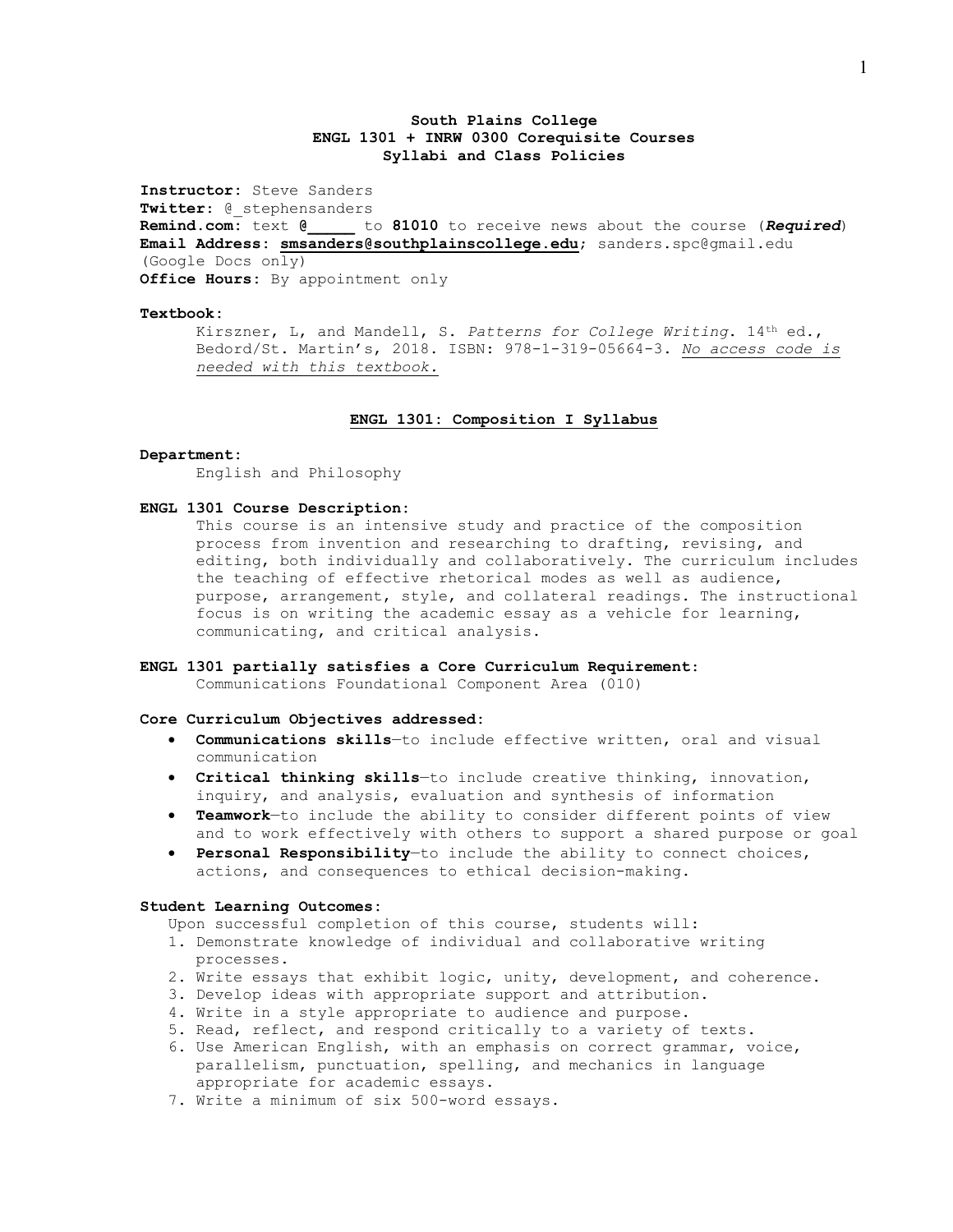# **South Plains College ENGL 1301 + INRW 0300 Corequisite Courses Syllabi and Class Policies**

**Instructor:** Steve Sanders **Twitter**: @\_stephensanders **Remind.com:** text **@\_\_\_\_\_** to **81010** to receive news about the course (*Required*) **Email Address: [smsanders@southplainscollege.edu](mailto:smsanders@southplainscollege.edu)**; sanders.spc@gmail.edu (Google Docs only) **Office Hours:** By appointment only

### **Textbook:**

Kirszner, L, and Mandell, S. *Patterns for College Writing*. 14th ed., Bedord/St. Martin's, 2018. ISBN: 978-1-319-05664-3. *No access code is needed with this textbook.*

## **ENGL 1301: Composition I Syllabus**

#### **Department:**

English and Philosophy

## **ENGL 1301 Course Description:**

This course is an intensive study and practice of the composition process from invention and researching to drafting, revising, and editing, both individually and collaboratively. The curriculum includes the teaching of effective rhetorical modes as well as audience, purpose, arrangement, style, and collateral readings. The instructional focus is on writing the academic essay as a vehicle for learning, communicating, and critical analysis.

### **ENGL 1301 partially satisfies a Core Curriculum Requirement**:

Communications Foundational Component Area (010)

## **Core Curriculum Objectives addressed:**

- **Communications skills**—to include effective written, oral and visual communication
- **Critical thinking skills**—to include creative thinking, innovation, inquiry, and analysis, evaluation and synthesis of information
- **Teamwork**—to include the ability to consider different points of view and to work effectively with others to support a shared purpose or goal
- **Personal Responsibility**—to include the ability to connect choices, actions, and consequences to ethical decision-making.

#### **Student Learning Outcomes:**

Upon successful completion of this course, students will:

- 1. Demonstrate knowledge of individual and collaborative writing processes.
- 2. Write essays that exhibit logic, unity, development, and coherence.
- 3. Develop ideas with appropriate support and attribution.
- 4. Write in a style appropriate to audience and purpose.
- 5. Read, reflect, and respond critically to a variety of texts.
- 6. Use American English, with an emphasis on correct grammar, voice, parallelism, punctuation, spelling, and mechanics in language appropriate for academic essays.
- 7. Write a minimum of six 500-word essays.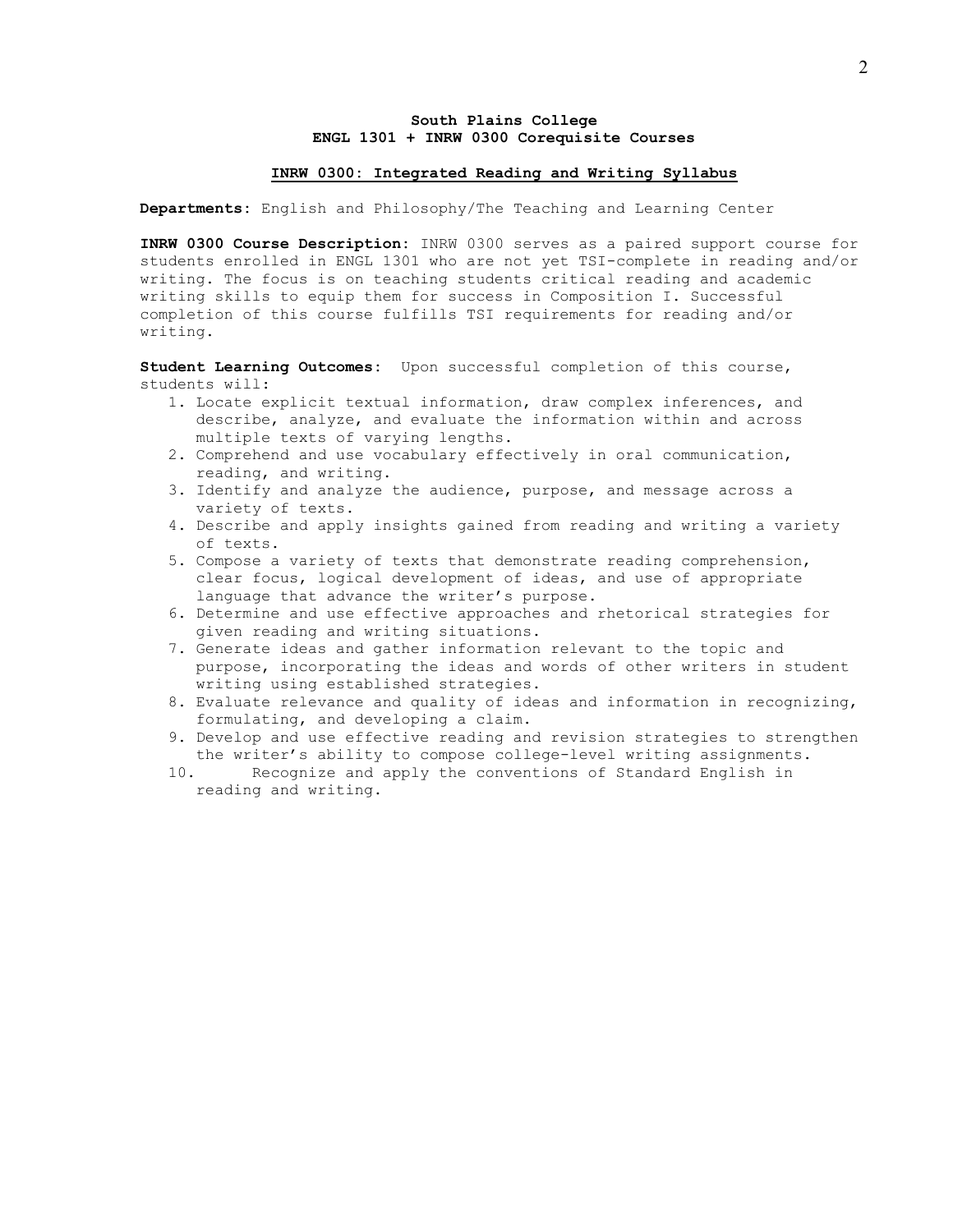## **South Plains College ENGL 1301 + INRW 0300 Corequisite Courses**

### **INRW 0300: Integrated Reading and Writing Syllabus**

**Departments:** English and Philosophy/The Teaching and Learning Center

**INRW 0300 Course Description:** INRW 0300 serves as a paired support course for students enrolled in ENGL 1301 who are not yet TSI-complete in reading and/or writing. The focus is on teaching students critical reading and academic writing skills to equip them for success in Composition I. Successful completion of this course fulfills TSI requirements for reading and/or writing.

**Student Learning Outcomes:** Upon successful completion of this course, students will:

- 1. Locate explicit textual information, draw complex inferences, and describe, analyze, and evaluate the information within and across multiple texts of varying lengths.
- 2. Comprehend and use vocabulary effectively in oral communication, reading, and writing.
- 3. Identify and analyze the audience, purpose, and message across a variety of texts.
- 4. Describe and apply insights gained from reading and writing a variety of texts.
- 5. Compose a variety of texts that demonstrate reading comprehension, clear focus, logical development of ideas, and use of appropriate language that advance the writer's purpose.
- 6. Determine and use effective approaches and rhetorical strategies for given reading and writing situations.
- 7. Generate ideas and gather information relevant to the topic and purpose, incorporating the ideas and words of other writers in student writing using established strategies.
- 8. Evaluate relevance and quality of ideas and information in recognizing, formulating, and developing a claim.
- 9. Develop and use effective reading and revision strategies to strengthen the writer's ability to compose college-level writing assignments.<br>10. Becognize and apply the conventions of Standard English in
- Recognize and apply the conventions of Standard English in reading and writing.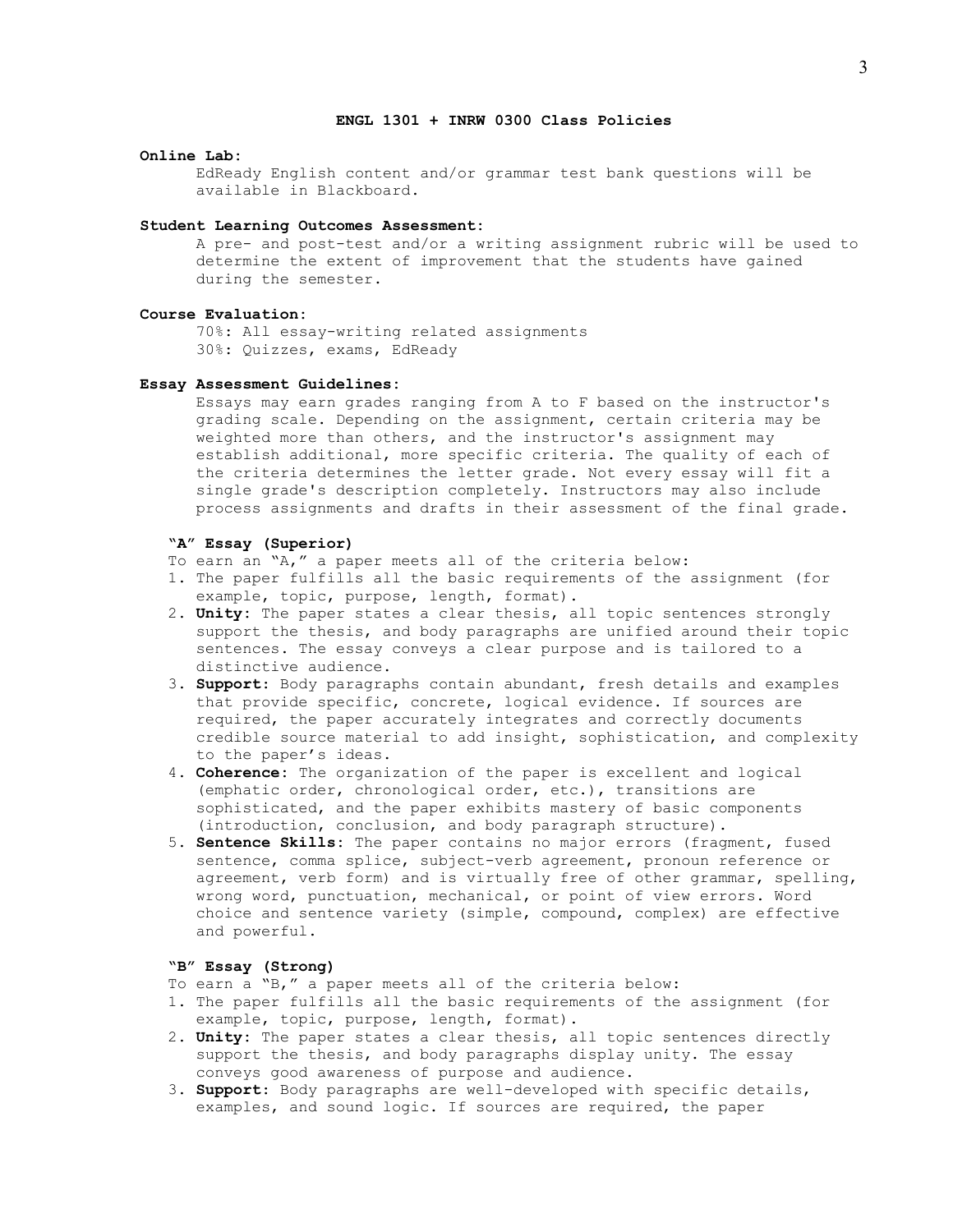# **ENGL 1301 + INRW 0300 Class Policies**

### **Online Lab:**

EdReady English content and/or grammar test bank questions will be available in Blackboard.

#### **Student Learning Outcomes Assessment:**

A pre- and post-test and/or a writing assignment rubric will be used to determine the extent of improvement that the students have gained during the semester.

#### **Course Evaluation:**

70%: All essay-writing related assignments 30%: Quizzes, exams, EdReady

### **Essay Assessment Guidelines:**

Essays may earn grades ranging from A to F based on the instructor's grading scale. Depending on the assignment, certain criteria may be weighted more than others, and the instructor's assignment may establish additional, more specific criteria. The quality of each of the criteria determines the letter grade. Not every essay will fit a single grade's description completely. Instructors may also include process assignments and drafts in their assessment of the final grade.

## **"A" Essay (Superior)**

- To earn an "A," a paper meets all of the criteria below:
- 1. The paper fulfills all the basic requirements of the assignment (for example, topic, purpose, length, format).
- 2. **Unity:** The paper states a clear thesis, all topic sentences strongly support the thesis, and body paragraphs are unified around their topic sentences. The essay conveys a clear purpose and is tailored to a distinctive audience.
- 3. **Support**: Body paragraphs contain abundant, fresh details and examples that provide specific, concrete, logical evidence. If sources are required, the paper accurately integrates and correctly documents credible source material to add insight, sophistication, and complexity to the paper's ideas.
- 4. **Coherence:** The organization of the paper is excellent and logical (emphatic order, chronological order, etc.), transitions are sophisticated, and the paper exhibits mastery of basic components (introduction, conclusion, and body paragraph structure).
- 5. **Sentence Skills:** The paper contains no major errors (fragment, fused sentence, comma splice, subject-verb agreement, pronoun reference or agreement, verb form) and is virtually free of other grammar, spelling, wrong word, punctuation, mechanical, or point of view errors. Word choice and sentence variety (simple, compound, complex) are effective and powerful.

# **"B" Essay (Strong)**

- To earn a "B," a paper meets all of the criteria below:
- 1. The paper fulfills all the basic requirements of the assignment (for example, topic, purpose, length, format).
- 2. **Unity:** The paper states a clear thesis, all topic sentences directly support the thesis, and body paragraphs display unity. The essay conveys good awareness of purpose and audience.
- 3. **Support**: Body paragraphs are well-developed with specific details, examples, and sound logic. If sources are required, the paper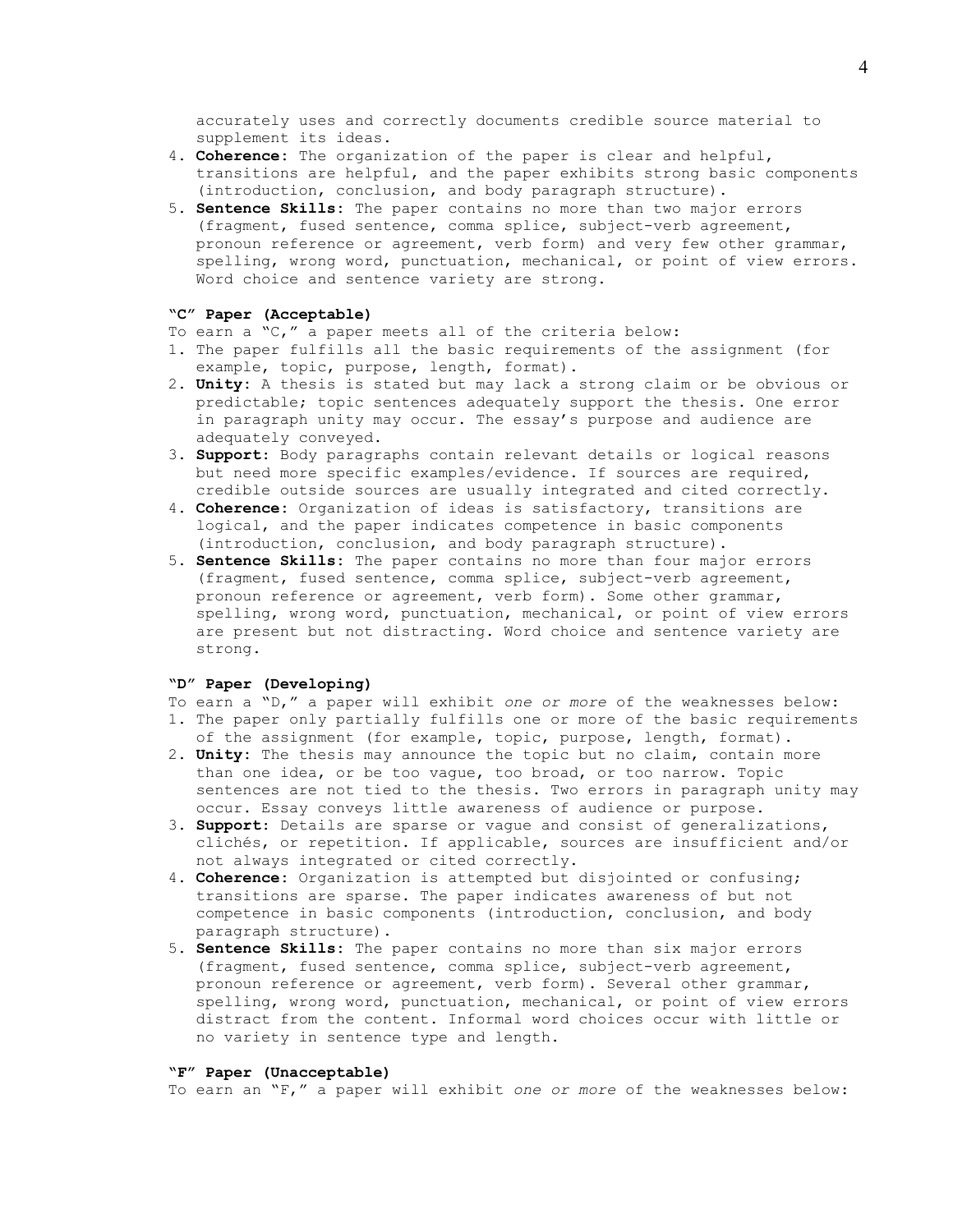accurately uses and correctly documents credible source material to supplement its ideas.

- 4. **Coherence:** The organization of the paper is clear and helpful, transitions are helpful, and the paper exhibits strong basic components (introduction, conclusion, and body paragraph structure).
- 5. **Sentence Skills:** The paper contains no more than two major errors (fragment, fused sentence, comma splice, subject-verb agreement, pronoun reference or agreement, verb form) and very few other grammar, spelling, wrong word, punctuation, mechanical, or point of view errors. Word choice and sentence variety are strong.

#### **"C" Paper (Acceptable)**

- To earn a "C," a paper meets all of the criteria below:
- 1. The paper fulfills all the basic requirements of the assignment (for example, topic, purpose, length, format).
- 2. **Unity:** A thesis is stated but may lack a strong claim or be obvious or predictable; topic sentences adequately support the thesis. One error in paragraph unity may occur. The essay's purpose and audience are adequately conveyed.
- 3. **Support**: Body paragraphs contain relevant details or logical reasons but need more specific examples/evidence. If sources are required, credible outside sources are usually integrated and cited correctly.
- 4. **Coherence:** Organization of ideas is satisfactory, transitions are logical, and the paper indicates competence in basic components (introduction, conclusion, and body paragraph structure).
- 5. **Sentence Skills:** The paper contains no more than four major errors (fragment, fused sentence, comma splice, subject-verb agreement, pronoun reference or agreement, verb form). Some other grammar, spelling, wrong word, punctuation, mechanical, or point of view errors are present but not distracting. Word choice and sentence variety are strong.

### **"D" Paper (Developing)**

- To earn a "D," a paper will exhibit *one or more* of the weaknesses below:
- 1. The paper only partially fulfills one or more of the basic requirements of the assignment (for example, topic, purpose, length, format).
- 2. **Unity:** The thesis may announce the topic but no claim, contain more than one idea, or be too vague, too broad, or too narrow. Topic sentences are not tied to the thesis. Two errors in paragraph unity may occur. Essay conveys little awareness of audience or purpose.
- 3. **Support**: Details are sparse or vague and consist of generalizations, clichés, or repetition. If applicable, sources are insufficient and/or not always integrated or cited correctly.
- 4. **Coherence:** Organization is attempted but disjointed or confusing; transitions are sparse. The paper indicates awareness of but not competence in basic components (introduction, conclusion, and body paragraph structure).
- 5. **Sentence Skills:** The paper contains no more than six major errors (fragment, fused sentence, comma splice, subject-verb agreement, pronoun reference or agreement, verb form). Several other grammar, spelling, wrong word, punctuation, mechanical, or point of view errors distract from the content. Informal word choices occur with little or no variety in sentence type and length.

#### **"F" Paper (Unacceptable)**

To earn an "F," a paper will exhibit *one or more* of the weaknesses below: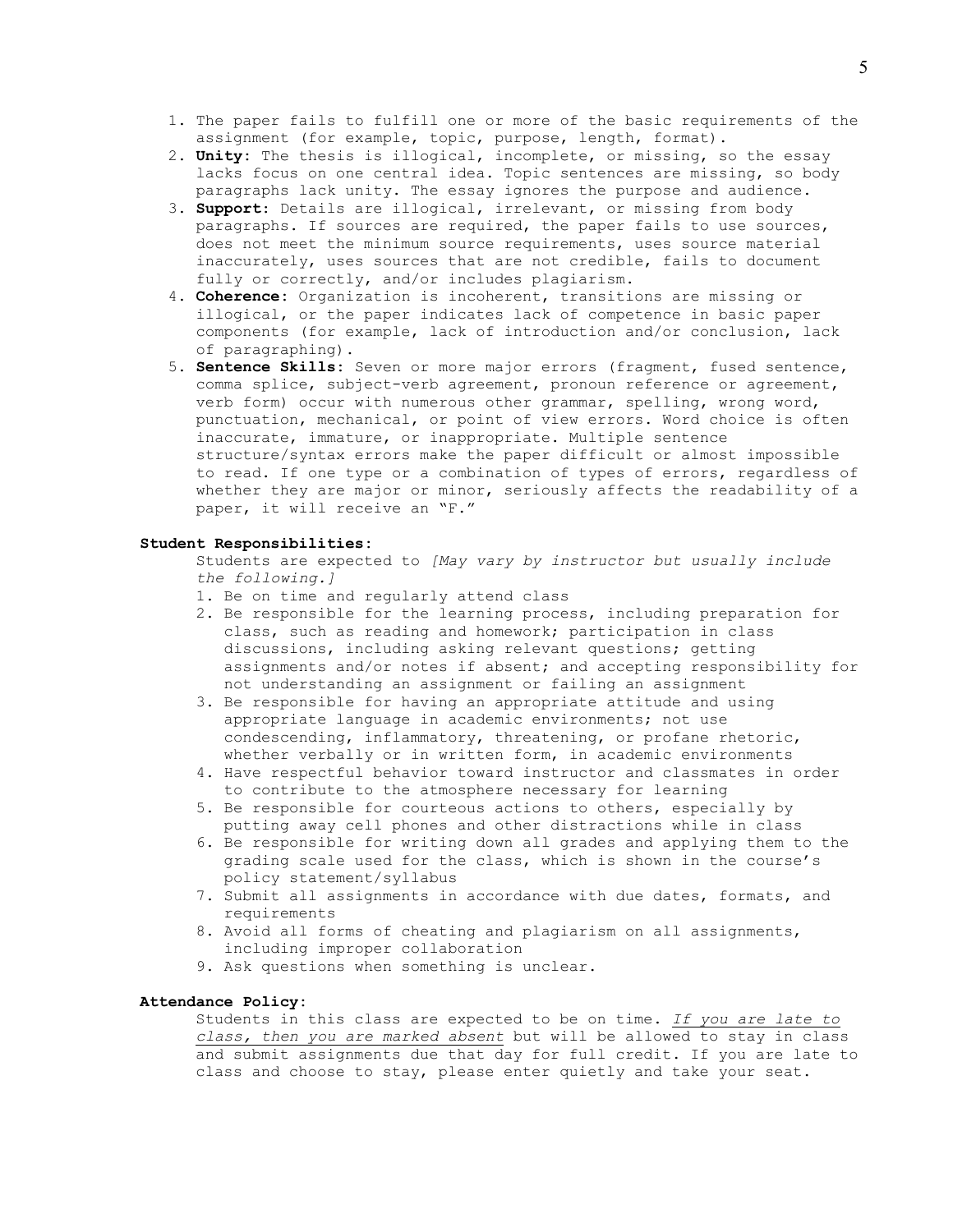- 1. The paper fails to fulfill one or more of the basic requirements of the assignment (for example, topic, purpose, length, format).
- 2. **Unity:** The thesis is illogical, incomplete, or missing, so the essay lacks focus on one central idea. Topic sentences are missing, so body paragraphs lack unity. The essay ignores the purpose and audience.
- 3. **Support**: Details are illogical, irrelevant, or missing from body paragraphs. If sources are required, the paper fails to use sources, does not meet the minimum source requirements, uses source material inaccurately, uses sources that are not credible, fails to document fully or correctly, and/or includes plagiarism.
- 4. **Coherence:** Organization is incoherent, transitions are missing or illogical, or the paper indicates lack of competence in basic paper components (for example, lack of introduction and/or conclusion, lack of paragraphing).
- 5. **Sentence Skills:** Seven or more major errors (fragment, fused sentence, comma splice, subject-verb agreement, pronoun reference or agreement, verb form) occur with numerous other grammar, spelling, wrong word, punctuation, mechanical, or point of view errors. Word choice is often inaccurate, immature, or inappropriate. Multiple sentence structure/syntax errors make the paper difficult or almost impossible to read. If one type or a combination of types of errors, regardless of whether they are major or minor, seriously affects the readability of a paper, it will receive an "F."

## **Student Responsibilities:**

Students are expected to *[May vary by instructor but usually include the following.]*

- 1. Be on time and regularly attend class
- 2. Be responsible for the learning process, including preparation for class, such as reading and homework; participation in class discussions, including asking relevant questions; getting assignments and/or notes if absent; and accepting responsibility for not understanding an assignment or failing an assignment
- 3. Be responsible for having an appropriate attitude and using appropriate language in academic environments; not use condescending, inflammatory, threatening, or profane rhetoric, whether verbally or in written form, in academic environments
- 4. Have respectful behavior toward instructor and classmates in order to contribute to the atmosphere necessary for learning
- 5. Be responsible for courteous actions to others, especially by putting away cell phones and other distractions while in class
- 6. Be responsible for writing down all grades and applying them to the grading scale used for the class, which is shown in the course's policy statement/syllabus
- 7. Submit all assignments in accordance with due dates, formats, and requirements
- 8. Avoid all forms of cheating and plagiarism on all assignments, including improper collaboration
- 9. Ask questions when something is unclear.

# **Attendance Policy:**

Students in this class are expected to be on time. *If you are late to class, then you are marked absent* but will be allowed to stay in class and submit assignments due that day for full credit. If you are late to class and choose to stay, please enter quietly and take your seat.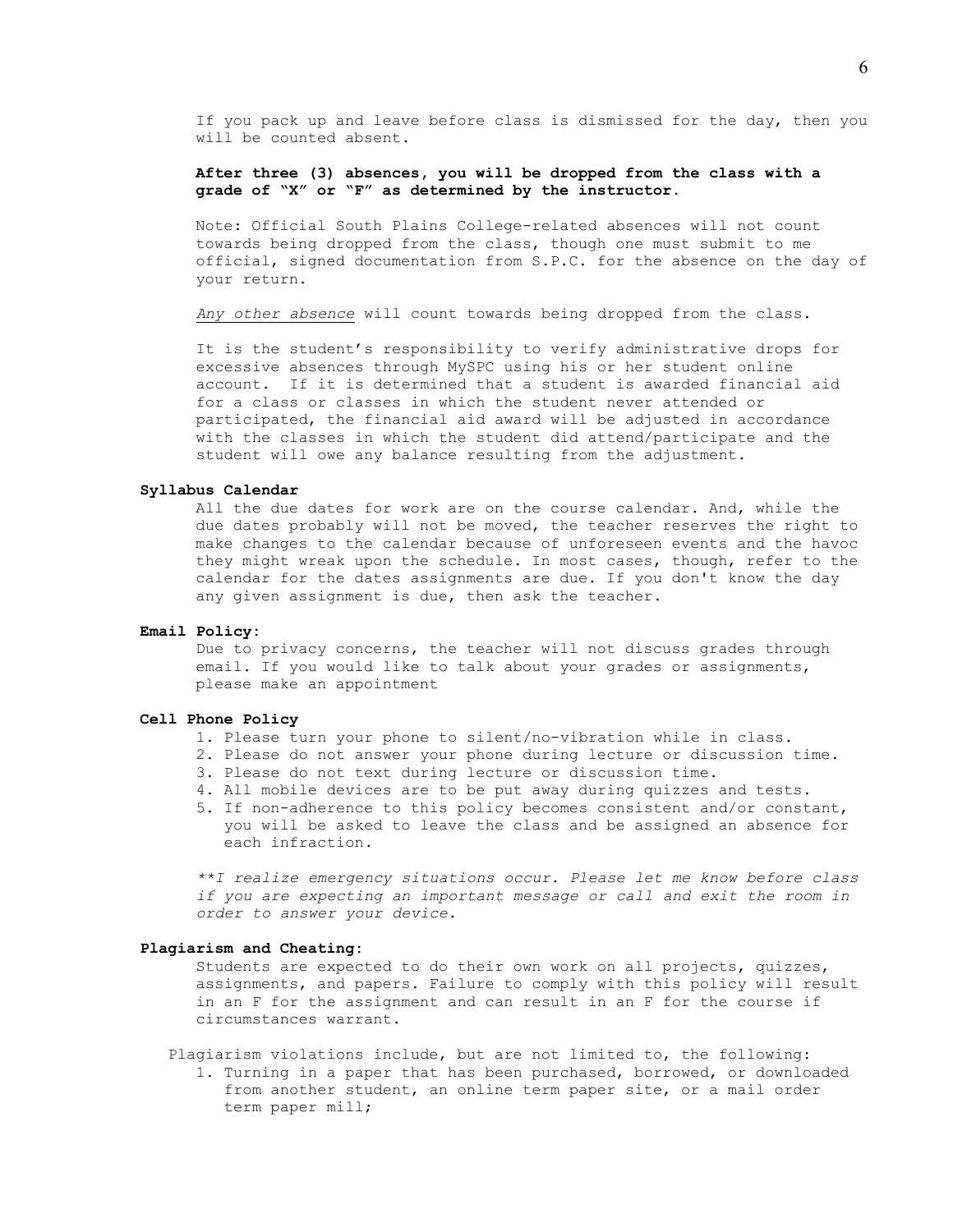If you pack up and leave before class is dismissed for the day, then you will be counted absent.

# **After three (3) absences, you will be dropped from the class with a grade of "X" or "F" as determined by the instructor.**

Note: Official South Plains College-related absences will not count towards being dropped from the class, though one must submit to me official, signed documentation from S.P.C. for the absence on the day of your return.

*Any other absence* will count towards being dropped from the class.

It is the student's responsibility to verify administrative drops for excessive absences through MySPC using his or her student online account. If it is determined that a student is awarded financial aid for a class or classes in which the student never attended or participated, the financial aid award will be adjusted in accordance with the classes in which the student did attend/participate and the student will owe any balance resulting from the adjustment.

### **Syllabus Calendar**

All the due dates for work are on the course calendar. And, while the due dates probably will not be moved, the teacher reserves the right to make changes to the calendar because of unforeseen events and the havoc they might wreak upon the schedule. In most cases, though, refer to the calendar for the dates assignments are due. If you don't know the day any given assignment is due, then ask the teacher.

### **Email Policy:**

Due to privacy concerns, the teacher will not discuss grades through email. If you would like to talk about your grades or assignments, please make an appointment

### **Cell Phone Policy**

- 1. Please turn your phone to silent/no-vibration while in class.
- 2. Please do not answer your phone during lecture or discussion time.
- 3. Please do not text during lecture or discussion time.
- 4. All mobile devices are to be put away during quizzes and tests.
- 5. If non-adherence to this policy becomes consistent and/or constant, you will be asked to leave the class and be assigned an absence for each infraction.

*\*\*I realize emergency situations occur. Please let me know before class if you are expecting an important message or call and exit the room in order to answer your device.*

#### **Plagiarism and Cheating:**

Students are expected to do their own work on all projects, quizzes, assignments, and papers. Failure to comply with this policy will result in an F for the assignment and can result in an F for the course if circumstances warrant.

Plagiarism violations include, but are not limited to, the following: 1. Turning in a paper that has been purchased, borrowed, or downloaded from another student, an online term paper site, or a mail order term paper mill;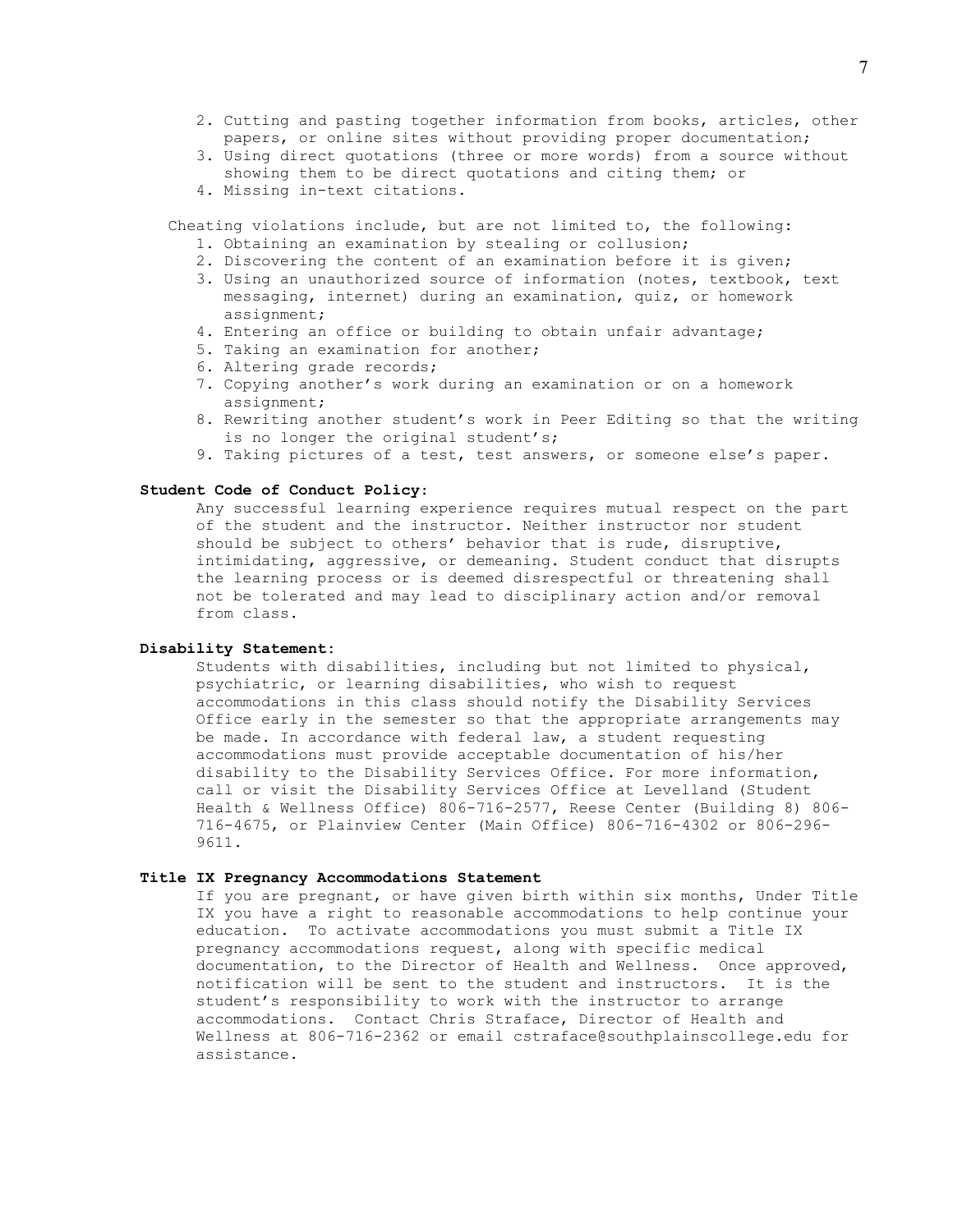- 2. Cutting and pasting together information from books, articles, other papers, or online sites without providing proper documentation;
- 3. Using direct quotations (three or more words) from a source without showing them to be direct quotations and citing them; or
- 4. Missing in-text citations.

Cheating violations include, but are not limited to, the following:

- 1. Obtaining an examination by stealing or collusion;
- 2. Discovering the content of an examination before it is given;
- 3. Using an unauthorized source of information (notes, textbook, text messaging, internet) during an examination, quiz, or homework assignment;
- 4. Entering an office or building to obtain unfair advantage;
- 5. Taking an examination for another;
- 6. Altering grade records;
- 7. Copying another's work during an examination or on a homework assignment;
- 8. Rewriting another student's work in Peer Editing so that the writing is no longer the original student's;
- 9. Taking pictures of a test, test answers, or someone else's paper.

## **Student Code of Conduct Policy**:

Any successful learning experience requires mutual respect on the part of the student and the instructor. Neither instructor nor student should be subject to others' behavior that is rude, disruptive, intimidating, aggressive, or demeaning**.** Student conduct that disrupts the learning process or is deemed disrespectful or threatening shall not be tolerated and may lead to disciplinary action and/or removal from class.

## **Disability Statement:**

Students with disabilities, including but not limited to physical, psychiatric, or learning disabilities, who wish to request accommodations in this class should notify the Disability Services Office early in the semester so that the appropriate arrangements may be made. In accordance with federal law, a student requesting accommodations must provide acceptable documentation of his/her disability to the Disability Services Office. For more information, call or visit the Disability Services Office at Levelland (Student Health & Wellness Office) 806-716-2577, Reese Center (Building 8) 806- 716-4675, or Plainview Center (Main Office) 806-716-4302 or 806-296- 9611.

#### **Title IX Pregnancy Accommodations Statement**

If you are pregnant, or have given birth within six months, Under Title IX you have a right to reasonable accommodations to help continue your education. To activate accommodations you must submit a Title IX pregnancy accommodations request, along with specific medical documentation, to the Director of Health and Wellness. Once approved, notification will be sent to the student and instructors. It is the student's responsibility to work with the instructor to arrange accommodations. Contact Chris Straface, Director of Health and Wellness at 806-716-2362 or email cstraface@southplainscollege.edu for assistance.